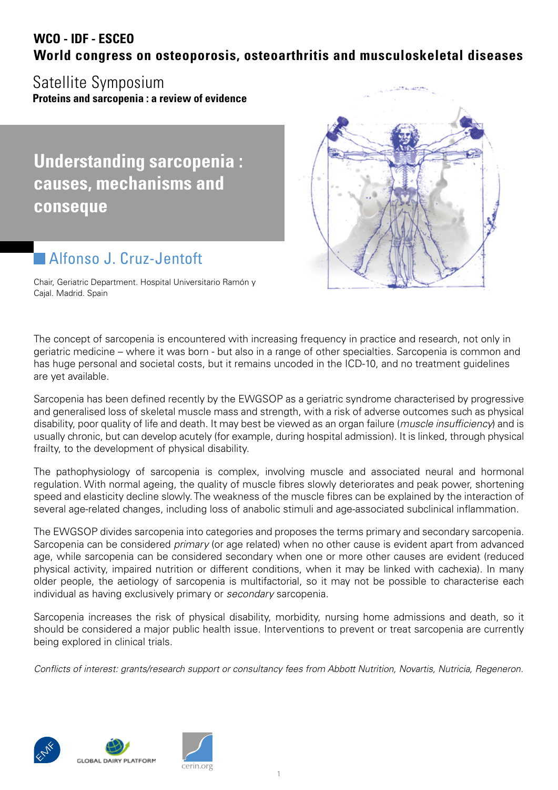### **WCO - IDF - ESCEO World congress on osteoporosis, osteoarthritis and musculoskeletal diseases**

Satellite Symposium **Proteins and sarcopenia : a review of evidence**

# **Understanding sarcopenia : causes, mechanisms and conseque**

## Alfonso J. Cruz-Jentoft

Chair, Geriatric Department. Hospital Universitario Ramón y Cajal. Madrid. Spain



The concept of sarcopenia is encountered with increasing frequency in practice and research, not only in geriatric medicine – where it was born - but also in a range of other specialties. Sarcopenia is common and has huge personal and societal costs, but it remains uncoded in the ICD-10, and no treatment guidelines are yet available.

Sarcopenia has been defined recently by the EWGSOP as a geriatric syndrome characterised by progressive and generalised loss of skeletal muscle mass and strength, with a risk of adverse outcomes such as physical disability, poor quality of life and death. It may best be viewed as an organ failure (*muscle insufficiency*) and is usually chronic, but can develop acutely (for example, during hospital admission). It is linked, through physical frailty, to the development of physical disability.

The pathophysiology of sarcopenia is complex, involving muscle and associated neural and hormonal regulation. With normal ageing, the quality of muscle fibres slowly deteriorates and peak power, shortening speed and elasticity decline slowly. The weakness of the muscle fibres can be explained by the interaction of several age-related changes, including loss of anabolic stimuli and age-associated subclinical inflammation.

The EWGSOP divides sarcopenia into categories and proposes the terms primary and secondary sarcopenia. Sarcopenia can be considered *primary* (or age related) when no other cause is evident apart from advanced age, while sarcopenia can be considered secondary when one or more other causes are evident (reduced physical activity, impaired nutrition or different conditions, when it may be linked with cachexia). In many older people, the aetiology of sarcopenia is multifactorial, so it may not be possible to characterise each individual as having exclusively primary or *secondary* sarcopenia.

Sarcopenia increases the risk of physical disability, morbidity, nursing home admissions and death, so it should be considered a major public health issue. Interventions to prevent or treat sarcopenia are currently being explored in clinical trials.

*Con icts of interest: grants/research support or consultancy fees from Abbott Nutrition, Novartis, Nutricia, Regeneron.*

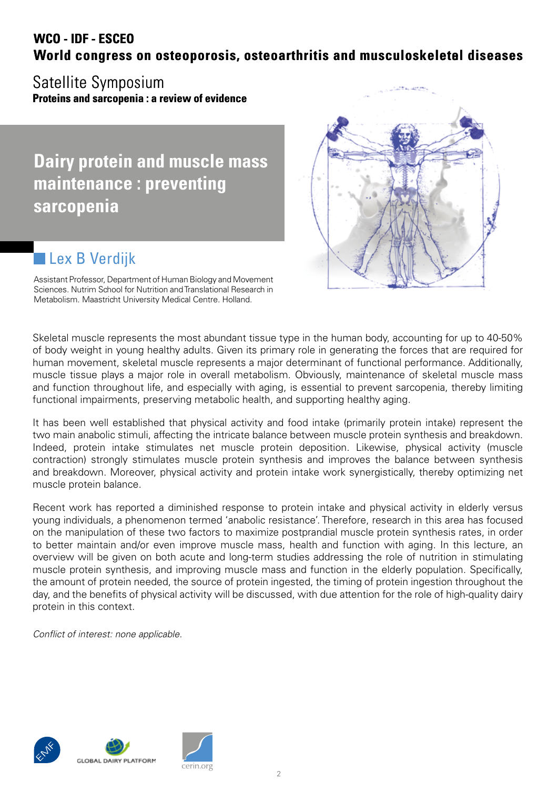### **WCO - IDF - ESCEO World congress on osteoporosis, osteoarthritis and musculoskeletal diseases musculoskeletel**

Satellite Symposium **Proteins and sarcopenia : a review of evidence**

# **Dairy protein and muscle mass maintenance : preventing sarcopenia**

## **Lex B Verdijk**

Assistant Professor, Department of Human Biology and Movement Sciences. Nutrim School for Nutrition and Translational Research in Metabolism. Maastricht University Medical Centre. Holland.

Skeletal muscle represents the most abundant tissue type in the human body, accounting for up to 40-50% of body weight in young healthy adults. Given its primary role in generating the forces that are required for human movement, skeletal muscle represents a major determinant of functional performance. Additionally, muscle tissue plays a major role in overall metabolism. Obviously, maintenance of skeletal muscle mass and function throughout life, and especially with aging, is essential to prevent sarcopenia, thereby limiting functional impairments, preserving metabolic health, and supporting healthy aging.

It has been well established that physical activity and food intake (primarily protein intake) represent the two main anabolic stimuli, affecting the intricate balance between muscle protein synthesis and breakdown. Indeed, protein intake stimulates net muscle protein deposition. Likewise, physical activity (muscle contraction) strongly stimulates muscle protein synthesis and improves the balance between synthesis and breakdown. Moreover, physical activity and protein intake work synergistically, thereby optimizing net muscle protein balance.

Recent work has reported a diminished response to protein intake and physical activity in elderly versus young individuals, a phenomenon termed 'anabolic resistance'. Therefore, research in this area has focused on the manipulation of these two factors to maximize postprandial muscle protein synthesis rates, in order to better maintain and/or even improve muscle mass, health and function with aging. In this lecture, an overview will be given on both acute and long-term studies addressing the role of nutrition in stimulating muscle protein synthesis, and improving muscle mass and function in the elderly population. Specifically, the amount of protein needed, the source of protein ingested, the timing of protein ingestion throughout the day, and the benefits of physical activity will be discussed, with due attention for the role of high-quality dairy protein in this context.

*Conflict of interest: none applicable.*